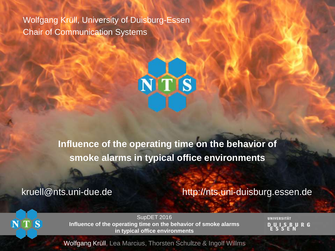Wolfgang Krüll, University of Duisburg-Essen Chair of Communication Systems



**Influence of the operating time on the behavior of smoke alarms in typical office environments**

kruell@nts.uni-due.de http://nts.uni-duisburg.essen.de

S

SupDET 2016 **Influence of the operating time on the behavior of smoke alarms in typical office environments**

UNIVERSITÄT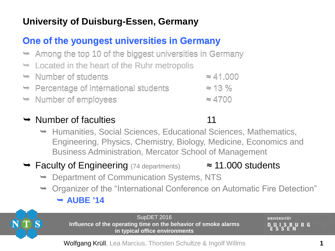## **University of Duisburg-Essen, Germany**

#### **One of the youngest universities in Germany**

- $\rightarrow$  Among the top 10 of the biggest universities in Germany
- $\rightarrow$  Located in the heart of the Ruhr metropolis
- $\rightarrow$  Number of students  $\approx 41.000$ Percentage of international students ≈ 13 %
- Number of employees ≈ 4700 Number of employees≈ 4700

#### $\rightarrow$  Number of faculties 11

- $\rightarrow$  Humanities, Social Sciences, Educational Sciences, Mathematics, Engineering, Physics, Chemistry, Biology, Medicine, Economics and Business Administration, Mercator School of Management
- $\rightarrow$  Faculty of Engineering (74 departments)  $\approx$  11.000 students
	- **→ Department of Communication Systems, NTS**
	- **→ Organizer of the "International Conference on Automatic Fire Detection" AUBE '14**



SupDET 2016 **Influence of the operating time on the behavior of smoke alarms in typical office environments**

UNIVERSITÄT **BURG**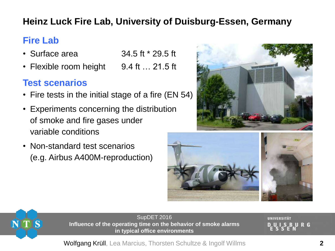## **Heinz Luck Fire Lab, University of Duisburg-Essen, Germany**

## **Fire Lab**

- Surface area  $34.5$  ft  $*$  29.5 ft
- Flexible room height 9.4 ft ... 21.5 ft

#### **Test scenarios**

- Fire tests in the initial stage of a fire (EN 54)
- Experiments concerning the distribution of smoke and fire gases under variable conditions
- Non-standard test scenarios (e.g. Airbus A400M-reproduction)







SupDET 2016 **Influence of the operating time on the behavior of smoke alarms in typical office environments**

UNIVERSITÄT URG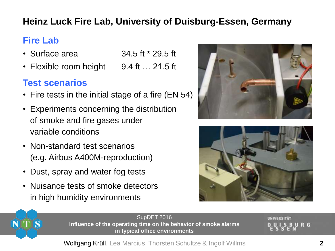## **Heinz Luck Fire Lab, University of Duisburg-Essen, Germany**

## **Fire Lab**

- Surface area  $34.5$  ft  $*$  29.5 ft
- Flexible room height 9.4 ft ... 21.5 ft

#### **Test scenarios**

- Fire tests in the initial stage of a fire (EN 54)
- Experiments concerning the distribution of smoke and fire gases under variable conditions
- Non-standard test scenarios (e.g. Airbus A400M-reproduction)
- Dust, spray and water fog tests
- Nuisance tests of smoke detectors in high humidity environments







SupDET 2016 **Influence of the operating time on the behavior of smoke alarms in typical office environments**

UNIVERSITÄT URG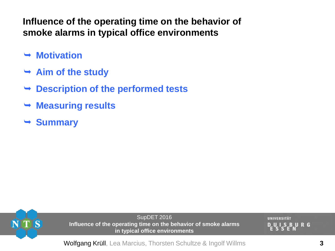**Influence of the operating time on the behavior of smoke alarms in typical office environments**

- **→ Motivation**
- **Aim of the study**
- **Description of the performed tests**
- **Measuring results**
- **Summary**



SupDET 2016 **Influence of the operating time on the behavior of smoke alarms in typical office environments**

UNIVERSITÄT BURG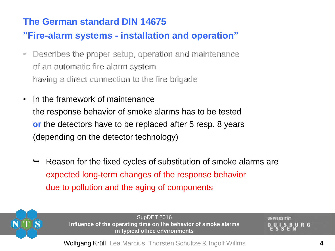#### **The German standard DIN 14675**

#### **"Fire-alarm systems - installation and operation"**

- Describes the proper setup, operation and maintenance •Describes the setup, operation and maintenance of an automatic fire alarm system having a direct connection to the fire brigade of an automatic fire alarm system having a direct connection to the fire brigade
- In the framework of maintenance the response behavior of smoke alarms has to be tested **or** the detectors have to be replaced after 5 resp. 8 years (depending on the detector technology)
	- Reason for the fixed cycles of substitution of smoke alarms are expected long-term changes of the response behavior due to pollution and the aging of components



SupDET 2016 **Influence of the operating time on the behavior of smoke alarms in typical office environments**

UNIVERSITÄT **BURG**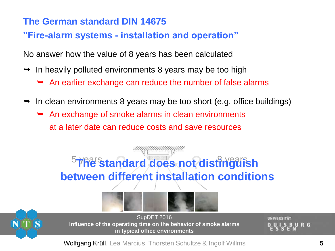#### **The German standard DIN 14675**

#### **"Fire-alarm systems - installation and operation"**

No answer how the value of 8 years has been calculated

- $\rightarrow$  In heavily polluted environments 8 years may be too high
	- $\rightarrow$  An earlier exchange can reduce the number of false alarms
- In clean environments 8 years may be too short (e.g. office buildings)
	- $\rightarrow$  An exchange of smoke alarms in clean environments at a later date can reduce costs and save resources





SupDET 2016 **Influence of the operating time on the behavior of smoke alarms in typical office environments**

UNIVERSITÄT URG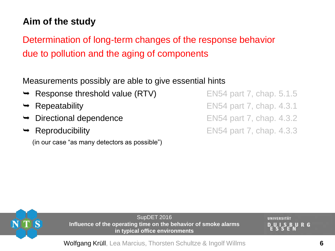## **Aim of the study**

Determination of long-term changes of the response behavior due to pollution and the aging of components

Measurements possibly are able to give essential hints

- **Response threshold value (RTV)** EN54 part 7, chap. 5.1.5
- 
- 
- 

(in our case "as many detectors as possible")

Repeatability **EN54 part 7, chap. 4.3.1 Directional dependence** EN54 part 7, chap. 4.3.2 Reproducibility **EN54 part 7, chap. 4.3.3** 



SupDET 2016 **Influence of the operating time on the behavior of smoke alarms in typical office environments**

UNIVERSITÄT **BURG**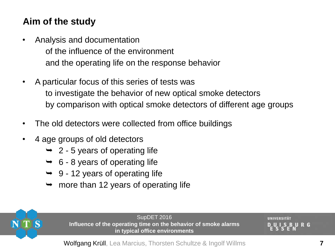## **Aim of the study**

- Analysis and documentation of the influence of the environment and the operating life on the response behavior
- A particular focus of this series of tests was to investigate the behavior of new optical smoke detectors by comparison with optical smoke detectors of different age groups
- The old detectors were collected from office buildings
- 4 age groups of old detectors
	- $\rightarrow$  2 5 years of operating life
	- $\rightarrow$  6 8 years of operating life
	- $\rightarrow$  9 12 years of operating life
	- $\rightarrow$  more than 12 years of operating life



SupDET 2016 **Influence of the operating time on the behavior of smoke alarms in typical office environments**

UNIVERSITÄT URG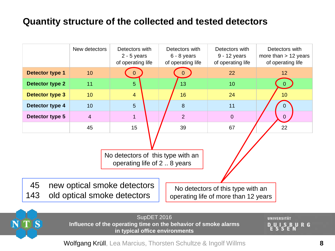#### **Quantity structure of the collected and tested detectors**

|                                                                                                                                                      | New detectors   | Detectors with<br>$2 - 5$ years<br>of operating life | Detectors with<br>6 - 8 years<br>of operating life | Detectors with<br>9 - 12 years<br>of operating life | Detectors with<br>more than $> 12$ years<br>of operating life |  |  |
|------------------------------------------------------------------------------------------------------------------------------------------------------|-----------------|------------------------------------------------------|----------------------------------------------------|-----------------------------------------------------|---------------------------------------------------------------|--|--|
| Detector type 1                                                                                                                                      | 10              |                                                      |                                                    | 22                                                  | 12                                                            |  |  |
| <b>Detector type 2</b>                                                                                                                               | 11              | 5                                                    | 13                                                 | 10                                                  |                                                               |  |  |
| Detector type 3                                                                                                                                      | 10 <sup>°</sup> | $\overline{4}$                                       | 16                                                 | 24                                                  | 10 <sub>1</sub>                                               |  |  |
| Detector type 4                                                                                                                                      | 10              | 5                                                    | 8                                                  | 11                                                  |                                                               |  |  |
| Detector type 5                                                                                                                                      | $\overline{4}$  | $\overline{1}$                                       | $\overline{2}$                                     | $\overline{0}$                                      | $\overline{0}$                                                |  |  |
|                                                                                                                                                      | 45              | 15                                                   | 39                                                 | 67                                                  | 22                                                            |  |  |
| No detectors of this type with an<br>operating life of 2.8 years                                                                                     |                 |                                                      |                                                    |                                                     |                                                               |  |  |
| 45<br>new optical smoke detectors<br>No detectors of this type with an<br>143<br>old optical smoke detectors<br>operating life of more than 12 years |                 |                                                      |                                                    |                                                     |                                                               |  |  |



SupDET 2016 **Influence of the operating time on the behavior of smoke alarms in typical office environments**

UNIVERSITÄT **UISBURG**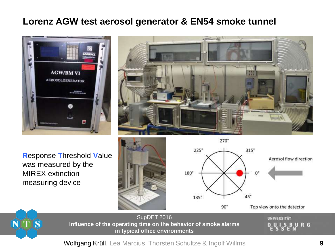#### **Lorenz AGW test aerosol generator & EN54 smoke tunnel**





**R**esponse **T**hreshold **V**alue was measured by the MIREX extinction measuring device





 $\overline{\mathbf{S}}$ **ITI** 

SupDET 2016 **Influence of the operating time on the behavior of smoke alarms in typical office environments**

UNIVERSITÄT UISBURG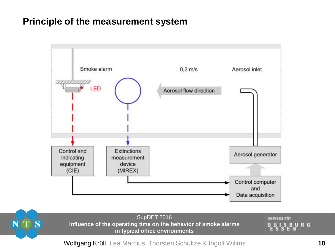#### **Principle of the measurement system**



NTS

SupDET 2016 **Influence of the operating time on the behavior of smoke alarms in typical office environments**

UNIVERSITÄT DUISBURG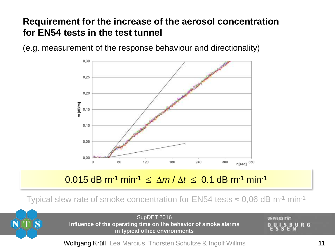#### **Requirement for the increase of the aerosol concentration for EN54 tests in the test tunnel**

(e.g. measurement of the response behaviour and directionality)



#### 0.015 dB m<sup>-1</sup> min<sup>-1</sup> ≤  $\Delta m / \Delta t$  ≤ 0.1 dB m<sup>-1</sup> min<sup>-1</sup>

Typical slew rate of smoke concentration for EN54 tests  $\approx 0.06$  dB m<sup>-1</sup> min<sup>-1</sup>



SupDET 2016 **Influence of the operating time on the behavior of smoke alarms in typical office environments**

UNIVERSITÄT URG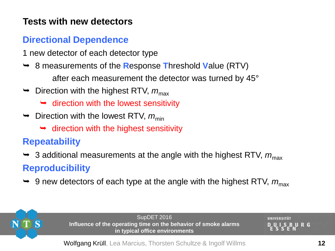#### **Tests with new detectors**

#### **Directional Dependence**

- 1 new detector of each detector type
- 8 measurements of the **R**esponse **T**hreshold **V**alue (RTV) after each measurement the detector was turned by 45°
- $\rightarrow$  Direction with the highest RTV,  $m_{\text{max}}$ 
	- $\rightarrow$  direction with the lowest sensitivity
- $\rightarrow$  Direction with the lowest RTV,  $m_{\text{min}}$ 
	- $\rightarrow$  direction with the highest sensitivity

## **Repeatability**

- $\rightarrow$  3 additional measurements at the angle with the highest RTV,  $m_{\text{max}}$ **Reproducibility**
- $\rightarrow$  9 new detectors of each type at the angle with the highest RTV,  $m_{\text{max}}$



SupDET 2016 **Influence of the operating time on the behavior of smoke alarms in typical office environments**

UNIVERSITÄT URG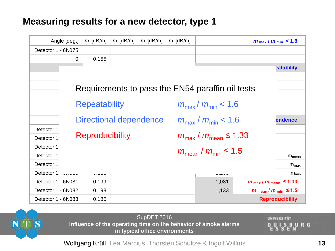#### **Measuring results for a new detector, type 1**

| $m$ [dB/m]<br>$m$ [dB/m]<br>$m$ [dB/m]<br>Angle [deg.] |                                           |       | $m$ [dB/m] | $m_{\text{max}}/m_{\text{min}} < 1.6$      |  |                                                  |                                            |                                           |
|--------------------------------------------------------|-------------------------------------------|-------|------------|--------------------------------------------|--|--------------------------------------------------|--------------------------------------------|-------------------------------------------|
| Detector 1 - 6N075                                     |                                           |       |            |                                            |  |                                                  |                                            |                                           |
|                                                        | $\overline{0}$                            | 0,155 |            |                                            |  |                                                  |                                            |                                           |
|                                                        |                                           |       |            |                                            |  |                                                  |                                            | <b>eatability</b>                         |
|                                                        |                                           |       |            |                                            |  |                                                  |                                            |                                           |
|                                                        |                                           |       |            |                                            |  | Requirements to pass the EN54 paraffin oil tests |                                            |                                           |
|                                                        |                                           |       |            |                                            |  |                                                  |                                            |                                           |
|                                                        | <b>Repeatability</b>                      |       |            | $m_{\rm max}$ / $m_{\rm min}$ < 1.6        |  |                                                  |                                            |                                           |
|                                                        | <b>Directional dependence</b>             |       |            | $m_{\rm max}$ / $m_{\rm min}$ < 1.6        |  |                                                  | endence                                    |                                           |
| Detector 1                                             |                                           |       |            |                                            |  |                                                  |                                            |                                           |
| <b>Reproducibility</b><br>Detector 1                   |                                           |       |            | $m_{\text{max}}/m_{\text{mean}} \leq 1.33$ |  |                                                  |                                            |                                           |
| Detector 1                                             |                                           |       |            |                                            |  |                                                  |                                            |                                           |
| Detector 1                                             | $m_{\text{mean}}/m_{\text{min}} \leq 1.5$ |       |            |                                            |  | $m_{mean}$                                       |                                            |                                           |
| Detector 1                                             |                                           |       |            |                                            |  |                                                  |                                            | $m_{max}$                                 |
| Detector 1                                             | $\ddotsc$                                 | .,    |            |                                            |  | ~, . ~~                                          |                                            | $m_{min}$                                 |
| Detector 1 - 6N081                                     |                                           | 0,199 |            |                                            |  | 1,081                                            | $m_{\text{max}}/m_{\text{mean}} \leq 1.33$ |                                           |
| Detector 1 - 6N082                                     |                                           | 0,198 |            |                                            |  | 1,133                                            |                                            | $m_{\text{mean}}/m_{\text{min}} \leq 1.5$ |
| Detector 1 - 6N083                                     |                                           | 0,185 |            |                                            |  |                                                  |                                            | <b>Reproducibility</b>                    |



SupDET 2016 **Influence of the operating time on the behavior of smoke alarms in typical office environments**

UNIVERSITÄT UISBURG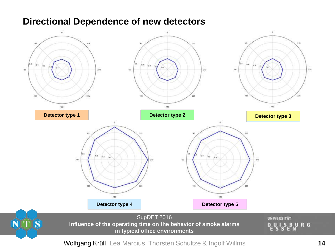#### **Directional Dependence of new detectors**

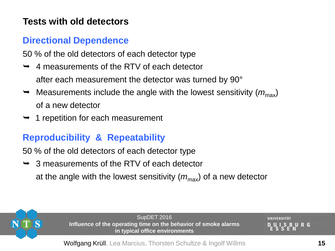#### **Tests with old detectors**

#### **Directional Dependence**

50 % of the old detectors of each detector type

- 4 measurements of the RTV of each detector after each measurement the detector was turned by 90°
- $\rightarrow$  Measurements include the angle with the lowest sensitivity ( $m_{\text{max}}$ ) of a new detector
- $\rightarrow$  1 repetition for each measurement

## **Reproducibility & Repeatability**

50 % of the old detectors of each detector type

 3 measurements of the RTV of each detector at the angle with the lowest sensitivity  $(m_{\text{max}})$  of a new detector



SupDET 2016 **Influence of the operating time on the behavior of smoke alarms in typical office environments**

URG

UNIVERSITÄT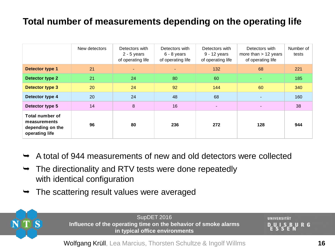#### **Total number of measurements depending on the operating life**

|                                                                       | New detectors | Detectors with<br>$2 - 5$ years<br>of operating life | Detectors with<br>$6 - 8$ years<br>of operating life | Detectors with<br>9 - 12 years<br>of operating life | Detectors with<br>more than $> 12$ years<br>of operating life | Number of<br>tests |
|-----------------------------------------------------------------------|---------------|------------------------------------------------------|------------------------------------------------------|-----------------------------------------------------|---------------------------------------------------------------|--------------------|
| Detector type 1                                                       | 21            | $\blacksquare$                                       | $\overline{\phantom{0}}$                             | 132                                                 | 68                                                            | 221                |
| Detector type 2                                                       | 21            | 24                                                   | 80                                                   | 60                                                  | ٠                                                             | 185                |
| Detector type 3                                                       | 20            | 24                                                   | 92                                                   | 144                                                 | 60                                                            | 340                |
| Detector type 4                                                       | 20            | 24                                                   | 48                                                   | 68                                                  |                                                               | 160                |
| Detector type 5                                                       | 14            | $\bf 8$                                              | 16                                                   |                                                     |                                                               | 38                 |
| Total number of<br>measurements<br>depending on the<br>operating life | 96            | 80                                                   | 236                                                  | 272                                                 | 128                                                           | 944                |

- A total of 944 measurements of new and old detectors were collected
- $\rightarrow$  The directionality and RTV tests were done repeatedly with identical configuration
- The scattering result values were averaged



SupDET 2016 **Influence of the operating time on the behavior of smoke alarms in typical office environments**

UNIVERSITÄT URG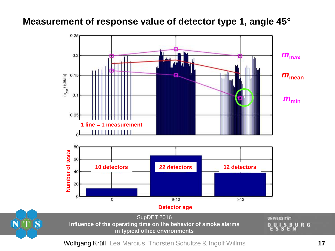#### **Measurement of response value of detector type 1, angle 45°**



Wolfgang Krüll, Lea Marcius, Thorsten Schultze & Ingolf Willms **17**

NTS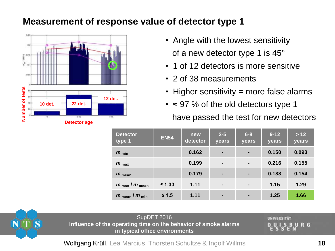#### **Measurement of response value of detector type 1**



- Angle with the lowest sensitivity of a new detector type 1 is 45°
- 1 of 12 detectors is more sensitive
- 2 of 38 measurements
- Higher sensitivity = more false alarms
- ≈ 97 % of the old detectors type 1 have passed the test for new detectors

| <b>Detector</b><br>type 1            | <b>EN54</b> | new<br>detector | $2 - 5$<br>years | $6 - 8$<br>years | $9-12$<br>years | $>12$<br>years |
|--------------------------------------|-------------|-----------------|------------------|------------------|-----------------|----------------|
| $m_{\min}$                           |             | 0.162           | $\blacksquare$   | $\blacksquare$   | 0.150           | 0.093          |
| $m_{\text{max}}$                     |             | 0.199           | $\blacksquare$   | $\blacksquare$   | 0.216           | 0.155          |
| $m_{\text{mean}}$                    |             | 0.179           | $\blacksquare$   | ٠                | 0.188           | 0.154          |
| $m_{\text{max}}$ / $m_{\text{mean}}$ | $\leq 1.33$ | 1.11            | $\blacksquare$   | $\blacksquare$   | 1.15            | 1.29           |
| $m_{\text{mean}}/m_{\text{min}}$     | $≤ 1.5$     | 1.11            | $\blacksquare$   | $\blacksquare$   | 1.25            | 1.66           |



SupDET 2016 **Influence of the operating time on the behavior of smoke alarms in typical office environments**

UNIVERSITÄT URG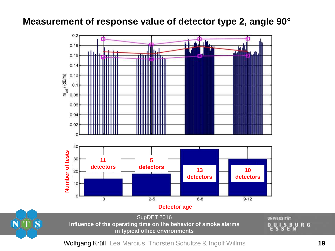#### **Measurement of response value of detector type 2, angle 90°**





NTS

**UNIVERSITÄT** UISBURG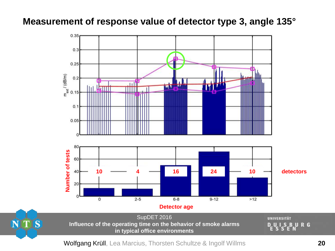#### **Measurement of response value of detector type 3, angle 135°**





NTS

**UNIVERSITÄT BURG** -8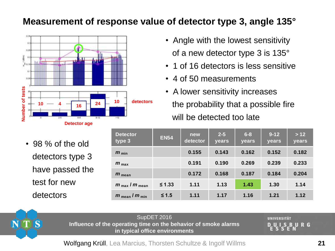#### **Measurement of response value of detector type 3, angle 135°**



• 98 % of the old detectors type 3 have passed the test for new detectors

| • Angle with the lowest sensitivity |
|-------------------------------------|
| of a new detector type 3 is 135°    |

- 1 of 16 detectors is less sensitive
- 4 of 50 measurements
- A lower sensitivity increases the probability that a possible fire will be detected too late

| <b>Detector</b><br>type 3            | <b>EN54</b> | new<br>detector | $2 - 5$<br>years | $6 - 8$<br>years | $9 - 12$<br>years | > 12<br>years |
|--------------------------------------|-------------|-----------------|------------------|------------------|-------------------|---------------|
| $m_{\min}$                           |             | 0.155           | 0.143            | 0.162            | 0.152             | 0.182         |
| $m_{\text{max}}$                     |             | 0.191           | 0.190            | 0.269            | 0.239             | 0.233         |
| $m_{\text{mean}}$                    |             | 0.172           | 0.168            | 0.187            | 0.184             | 0.204         |
| $m_{\text{max}}$ / $m_{\text{mean}}$ | ≤ 1.33      | 1.11            | 1.13             | 1.43             | 1.30              | 1.14          |
| $m_{\text{mean}}/m_{\text{min}}$     | $≤ 1.5$     | 1.11            | 1.17             | 1.16             | 1.21              | 1.12          |



SupDET 2016 **Influence of the operating time on the behavior of smoke alarms in typical office environments**

UNIVERSITÄT URG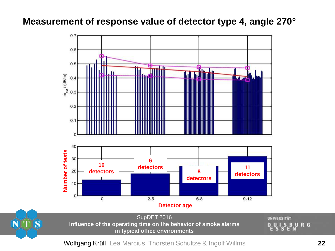#### **Measurement of response value of detector type 4, angle 270°**





SupDET 2016 **Influence of the operating time on the behavior of smoke alarms in typical office environments**

**UNIVERSITÄT** UISBURG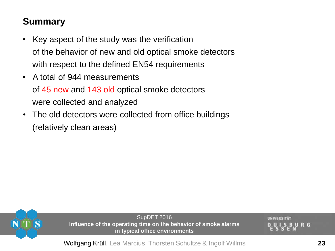- Key aspect of the study was the verification of the behavior of new and old optical smoke detectors with respect to the defined EN54 requirements
- A total of 944 measurements of 45 new and 143 old optical smoke detectors were collected and analyzed
- The old detectors were collected from office buildings (relatively clean areas)



SupDET 2016 **Influence of the operating time on the behavior of smoke alarms in typical office environments**

UNIVERSITÄT **BURG**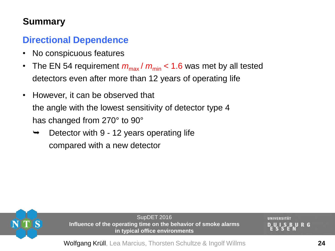#### **Directional Dependence**

- No conspicuous features
- The EN 54 requirement  $m_{\text{max}}/m_{\text{min}} < 1.6$  was met by all tested detectors even after more than 12 years of operating life
- However, it can be observed that the angle with the lowest sensitivity of detector type 4 has changed from 270° to 90°
	- Detector with 9 12 years operating life compared with a new detector



SupDET 2016 **Influence of the operating time on the behavior of smoke alarms in typical office environments**

UNIVERSITÄT **BURG**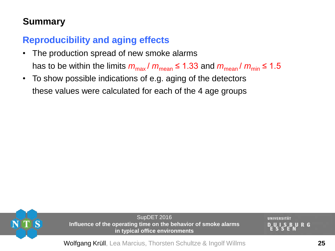## **Reproducibility and aging effects**

- The production spread of new smoke alarms has to be within the limits  $m_{\text{max}}/m_{\text{mean}} \leq 1.33$  and  $m_{\text{mean}}/m_{\text{min}} \leq 1.5$
- To show possible indications of e.g. aging of the detectors these values were calculated for each of the 4 age groups



SupDET 2016 **Influence of the operating time on the behavior of smoke alarms in typical office environments**

UNIVERSITÄT **BURG**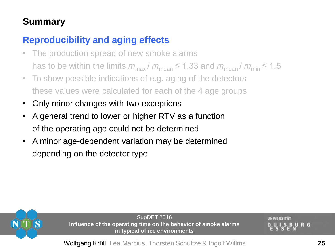#### **Reproducibility and aging effects**

- The production spread of new smoke alarms has to be within the limits  $m_{\text{max}}/m_{\text{mean}} \leq 1.33$  and  $m_{\text{mean}}/m_{\text{min}} \leq 1.5$
- To show possible indications of e.g. aging of the detectors these values were calculated for each of the 4 age groups
- Only minor changes with two exceptions
- A general trend to lower or higher RTV as a function of the operating age could not be determined
- A minor age-dependent variation may be determined depending on the detector type



SupDET 2016 **Influence of the operating time on the behavior of smoke alarms in typical office environments**

UNIVERSITÄT **BURG**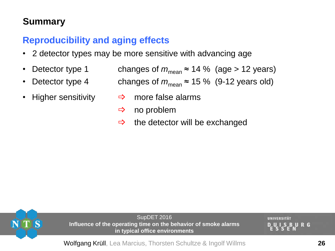#### **Reproducibility and aging effects**

- 2 detector types may be more sensitive with advancing age
- Detector type 1 changes of  $m_{\text{mean}} \approx 14 \%$  (age > 12 years)
- Detector type 4 changes of  $m_{\text{mean}} \approx 15 \%$  (9-12 years old)
- - Higher sensitivity  $\qquad \Rightarrow \quad$  more false alarms
		- $\Rightarrow$  no problem
		- $\Rightarrow$  the detector will be exchanged



SupDET 2016 **Influence of the operating time on the behavior of smoke alarms in typical office environments**

UNIVERSITÄT **BURG**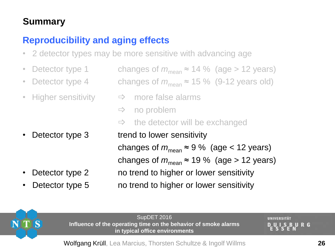#### **Reproducibility and aging effects**

- 2 detector types may be more sensitive with advancing age
- Detector type 1 changes of  $m_{\text{mean}} \approx 14 \%$  (age > 12 years)
- Detector type 4 changes of  $m_{\text{mean}} \approx 15 \%$  (9-12 years old)
- Higher sensitivity  $\Rightarrow$  more false alarms

- 
- 

 $\Rightarrow$  no problem  $\Rightarrow$  the detector will be exchanged Detector type 3 trend to lower sensitivity changes of  $m_{\text{mean}} \approx 9$  % (age < 12 years) changes of  $m_{\text{mean}}$  ≈ 19 % (age > 12 years) Detector type 2 no trend to higher or lower sensitivity Detector type 5 no trend to higher or lower sensitivity



SupDET 2016 **Influence of the operating time on the behavior of smoke alarms in typical office environments**

UNIVERSITÄT **BURG**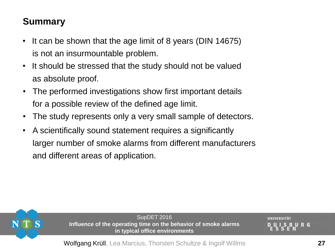- It can be shown that the age limit of 8 years (DIN 14675) is not an insurmountable problem.
- It should be stressed that the study should not be valued as absolute proof.
- The performed investigations show first important details for a possible review of the defined age limit.
- The study represents only a very small sample of detectors.
- A scientifically sound statement requires a significantly larger number of smoke alarms from different manufacturers and different areas of application.



SupDET 2016 **Influence of the operating time on the behavior of smoke alarms in typical office environments**

UNIVERSITÄT **BURG**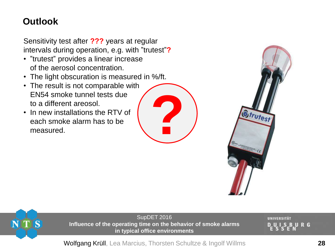#### **Outlook**

Sensitivity test after **???** years at regular intervals during operation, e.g. with "trutest"**?**

- "trutest" provides a linear increase of the aerosol concentration.
- The light obscuration is measured in %/ft.
- The result is not comparable with EN54 smoke tunnel tests due to a different areosol.
- In new installations the RTV of each smoke alarm has to be measured.







SupDET 2016 **Influence of the operating time on the behavior of smoke alarms in typical office environments**

UNIVERSITÄT URG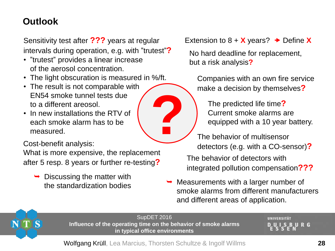## **Outlook**

Sensitivity test after **???** years at regular intervals during operation, e.g. with "trutest"**?**

- "trutest" provides a linear increase of the aerosol concentration.
- The light obscuration is measured in %/ft.
- The result is not comparable with EN54 smoke tunnel tests due to a different areosol.
- In new installations the RTV of each smoke alarm has to be measured.

Cost-benefit analysis:

What is more expensive, the replacement after 5 resp. 8 years or further re-testing**?**

 $\rightarrow$  Discussing the matter with

Extension to  $8 + X$  years?  $\rightarrow$  Define X

No hard deadline for replacement, but a risk analysis**?**

Companies with an own fire service make a decision by themselves**?**

The predicted life time**?** Current smoke alarms are equipped with a 10 year battery.

- The behavior of detectors with integrated pollution compensation**???** The behavior of multisensor detectors (e.g. with a CO-sensor)**?**
- the standardization bodies  $\rightarrow$  Measurements with a larger number of smoke alarms from different manufacturers and different areas of application.



SupDET 2016 **Influence of the operating time on the behavior of smoke alarms in typical office environments**

**?**

UNIVERSITÄT **BURG**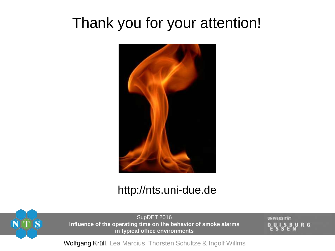# Thank you for your attention!



## http://nts.uni-due.de



SupDET 2016 **Influence of the operating time on the behavior of smoke alarms in typical office environments**

UNIVERSITÄT URG